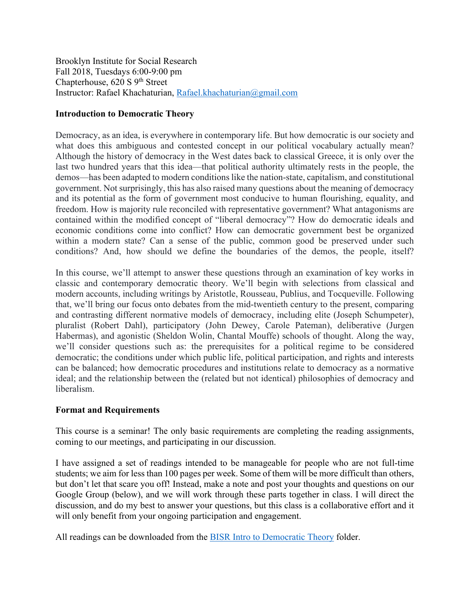Brooklyn Institute for Social Research Fall 2018, Tuesdays 6:00-9:00 pm Chapterhouse, 620 S 9<sup>th</sup> Street Instructor: Rafael Khachaturian, Rafael.khachaturian@gmail.com

## **Introduction to Democratic Theory**

Democracy, as an idea, is everywhere in contemporary life. But how democratic is our society and what does this ambiguous and contested concept in our political vocabulary actually mean? Although the history of democracy in the West dates back to classical Greece, it is only over the last two hundred years that this idea—that political authority ultimately rests in the people, the demos—has been adapted to modern conditions like the nation-state, capitalism, and constitutional government. Not surprisingly, this has also raised many questions about the meaning of democracy and its potential as the form of government most conducive to human flourishing, equality, and freedom. How is majority rule reconciled with representative government? What antagonisms are contained within the modified concept of "liberal democracy"? How do democratic ideals and economic conditions come into conflict? How can democratic government best be organized within a modern state? Can a sense of the public, common good be preserved under such conditions? And, how should we define the boundaries of the demos, the people, itself?

In this course, we'll attempt to answer these questions through an examination of key works in classic and contemporary democratic theory. We'll begin with selections from classical and modern accounts, including writings by Aristotle, Rousseau, Publius, and Tocqueville. Following that, we'll bring our focus onto debates from the mid-twentieth century to the present, comparing and contrasting different normative models of democracy, including elite (Joseph Schumpeter), pluralist (Robert Dahl), participatory (John Dewey, Carole Pateman), deliberative (Jurgen Habermas), and agonistic (Sheldon Wolin, Chantal Mouffe) schools of thought. Along the way, we'll consider questions such as: the prerequisites for a political regime to be considered democratic; the conditions under which public life, political participation, and rights and interests can be balanced; how democratic procedures and institutions relate to democracy as a normative ideal; and the relationship between the (related but not identical) philosophies of democracy and liberalism.

### **Format and Requirements**

This course is a seminar! The only basic requirements are completing the reading assignments, coming to our meetings, and participating in our discussion.

I have assigned a set of readings intended to be manageable for people who are not full-time students; we aim for less than 100 pages per week. Some of them will be more difficult than others, but don't let that scare you off! Instead, make a note and post your thoughts and questions on our Google Group (below), and we will work through these parts together in class. I will direct the discussion, and do my best to answer your questions, but this class is a collaborative effort and it will only benefit from your ongoing participation and engagement.

All readings can be downloaded from the BISR Intro to Democratic Theory folder.